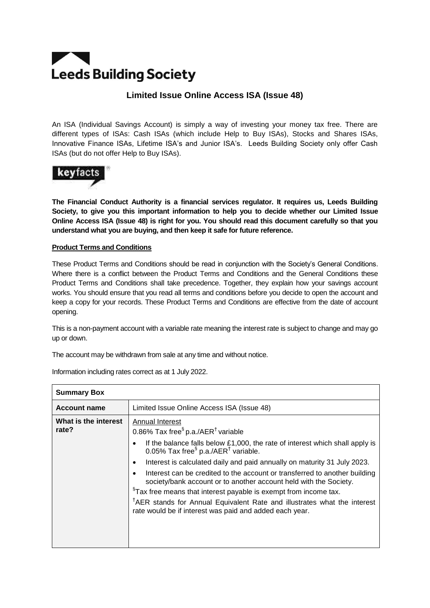# **Leeds Building Society**

# **Limited Issue Online Access ISA (Issue 48)**

An ISA (Individual Savings Account) is simply a way of investing your money tax free. There are different types of ISAs: Cash ISAs (which include Help to Buy ISAs), Stocks and Shares ISAs, Innovative Finance ISAs, Lifetime ISA's and Junior ISA's. Leeds Building Society only offer Cash ISAs (but do not offer Help to Buy ISAs).



**The Financial Conduct Authority is a financial services regulator. It requires us, Leeds Building Society, to give you this important information to help you to decide whether our Limited Issue Online Access ISA (Issue 48) is right for you. You should read this document carefully so that you understand what you are buying, and then keep it safe for future reference.**

# **Product Terms and Conditions**

These Product Terms and Conditions should be read in conjunction with the Society's General Conditions. Where there is a conflict between the Product Terms and Conditions and the General Conditions these Product Terms and Conditions shall take precedence. Together, they explain how your savings account works. You should ensure that you read all terms and conditions before you decide to open the account and keep a copy for your records. These Product Terms and Conditions are effective from the date of account opening.

This is a non-payment account with a variable rate meaning the interest rate is subject to change and may go up or down.

The account may be withdrawn from sale at any time and without notice.

| <b>Summary Box</b>            |                                                                                                                                                                                                                                                                                                                                                                                                                                                                                                                                             |
|-------------------------------|---------------------------------------------------------------------------------------------------------------------------------------------------------------------------------------------------------------------------------------------------------------------------------------------------------------------------------------------------------------------------------------------------------------------------------------------------------------------------------------------------------------------------------------------|
| <b>Account name</b>           | Limited Issue Online Access ISA (Issue 48)                                                                                                                                                                                                                                                                                                                                                                                                                                                                                                  |
| What is the interest<br>rate? | Annual Interest<br>0.86% Tax free <sup>§</sup> p.a./AER <sup>†</sup> variable<br>If the balance falls below £1,000, the rate of interest which shall apply is<br>0.05% Tax free <sup>§</sup> p.a./AER <sup>†</sup> variable.<br>Interest is calculated daily and paid annually on maturity 31 July 2023.<br>Interest can be credited to the account or transferred to another building<br>society/bank account or to another account held with the Society.<br><sup>§</sup> Tax free means that interest payable is exempt from income tax. |
|                               | <sup>†</sup> AER stands for Annual Equivalent Rate and illustrates what the interest<br>rate would be if interest was paid and added each year.                                                                                                                                                                                                                                                                                                                                                                                             |

Information including rates correct as at 1 July 2022.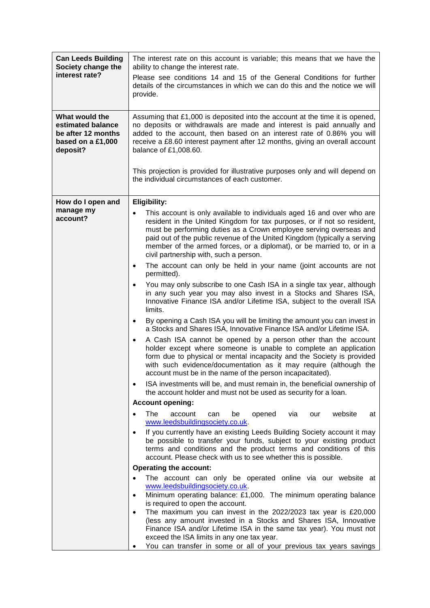| <b>Can Leeds Building</b>                                                                  | The interest rate on this account is variable; this means that we have the                                                                                                                                                                                                                                                                                                                                                                                                                                                                                                                                                                                                                                                                                                                                                                                                                                                                                                                                                                                                                                                                                                                                                                                                                                                                                                          |
|--------------------------------------------------------------------------------------------|-------------------------------------------------------------------------------------------------------------------------------------------------------------------------------------------------------------------------------------------------------------------------------------------------------------------------------------------------------------------------------------------------------------------------------------------------------------------------------------------------------------------------------------------------------------------------------------------------------------------------------------------------------------------------------------------------------------------------------------------------------------------------------------------------------------------------------------------------------------------------------------------------------------------------------------------------------------------------------------------------------------------------------------------------------------------------------------------------------------------------------------------------------------------------------------------------------------------------------------------------------------------------------------------------------------------------------------------------------------------------------------|
| Society change the<br>interest rate?                                                       | ability to change the interest rate.<br>Please see conditions 14 and 15 of the General Conditions for further<br>details of the circumstances in which we can do this and the notice we will<br>provide.                                                                                                                                                                                                                                                                                                                                                                                                                                                                                                                                                                                                                                                                                                                                                                                                                                                                                                                                                                                                                                                                                                                                                                            |
| What would the<br>estimated balance<br>be after 12 months<br>based on a £1,000<br>deposit? | Assuming that £1,000 is deposited into the account at the time it is opened,<br>no deposits or withdrawals are made and interest is paid annually and<br>added to the account, then based on an interest rate of 0.86% you will<br>receive a £8.60 interest payment after 12 months, giving an overall account<br>balance of £1,008.60.                                                                                                                                                                                                                                                                                                                                                                                                                                                                                                                                                                                                                                                                                                                                                                                                                                                                                                                                                                                                                                             |
|                                                                                            | This projection is provided for illustrative purposes only and will depend on<br>the individual circumstances of each customer.                                                                                                                                                                                                                                                                                                                                                                                                                                                                                                                                                                                                                                                                                                                                                                                                                                                                                                                                                                                                                                                                                                                                                                                                                                                     |
| How do I open and<br>manage my<br>account?                                                 | Eligibility:<br>This account is only available to individuals aged 16 and over who are<br>$\bullet$<br>resident in the United Kingdom for tax purposes, or if not so resident,<br>must be performing duties as a Crown employee serving overseas and<br>paid out of the public revenue of the United Kingdom (typically a serving<br>member of the armed forces, or a diplomat), or be married to, or in a<br>civil partnership with, such a person.<br>The account can only be held in your name (joint accounts are not<br>permitted).<br>You may only subscribe to one Cash ISA in a single tax year, although<br>in any such year you may also invest in a Stocks and Shares ISA,<br>Innovative Finance ISA and/or Lifetime ISA, subject to the overall ISA<br>limits.<br>By opening a Cash ISA you will be limiting the amount you can invest in<br>$\bullet$<br>a Stocks and Shares ISA, Innovative Finance ISA and/or Lifetime ISA.<br>A Cash ISA cannot be opened by a person other than the account<br>holder except where someone is unable to complete an application<br>form due to physical or mental incapacity and the Society is provided<br>with such evidence/documentation as it may require (although the<br>account must be in the name of the person incapacitated).<br>ISA investments will be, and must remain in, the beneficial ownership of<br>$\bullet$ |
|                                                                                            | the account holder and must not be used as security for a loan.<br><b>Account opening:</b>                                                                                                                                                                                                                                                                                                                                                                                                                                                                                                                                                                                                                                                                                                                                                                                                                                                                                                                                                                                                                                                                                                                                                                                                                                                                                          |
|                                                                                            | The<br>website<br>account<br>be<br>opened<br>via<br>can<br>our<br>at                                                                                                                                                                                                                                                                                                                                                                                                                                                                                                                                                                                                                                                                                                                                                                                                                                                                                                                                                                                                                                                                                                                                                                                                                                                                                                                |
|                                                                                            | www.leedsbuildingsociety.co.uk.<br>If you currently have an existing Leeds Building Society account it may<br>be possible to transfer your funds, subject to your existing product<br>terms and conditions and the product terms and conditions of this<br>account. Please check with us to see whether this is possible.                                                                                                                                                                                                                                                                                                                                                                                                                                                                                                                                                                                                                                                                                                                                                                                                                                                                                                                                                                                                                                                           |
|                                                                                            | <b>Operating the account:</b>                                                                                                                                                                                                                                                                                                                                                                                                                                                                                                                                                                                                                                                                                                                                                                                                                                                                                                                                                                                                                                                                                                                                                                                                                                                                                                                                                       |
|                                                                                            | The account can only be operated online via our website at<br>www.leedsbuildingsociety.co.uk.<br>Minimum operating balance: £1,000. The minimum operating balance<br>$\bullet$<br>is required to open the account.<br>The maximum you can invest in the 2022/2023 tax year is £20,000<br>$\bullet$<br>(less any amount invested in a Stocks and Shares ISA, Innovative<br>Finance ISA and/or Lifetime ISA in the same tax year). You must not<br>exceed the ISA limits in any one tax year.<br>You can transfer in some or all of your previous tax years savings                                                                                                                                                                                                                                                                                                                                                                                                                                                                                                                                                                                                                                                                                                                                                                                                                   |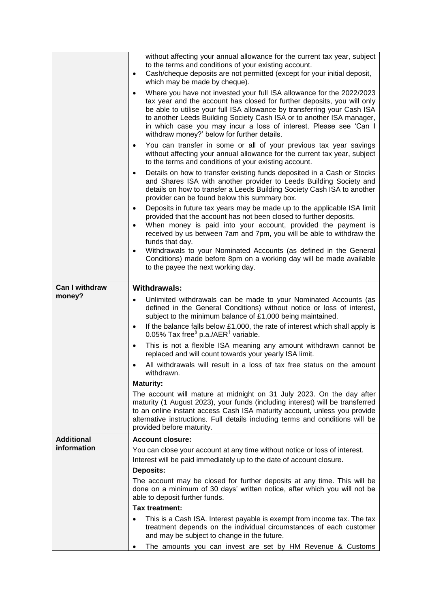|                                  | without affecting your annual allowance for the current tax year, subject<br>to the terms and conditions of your existing account.<br>Cash/cheque deposits are not permitted (except for your initial deposit,<br>$\bullet$<br>which may be made by cheque).<br>Where you have not invested your full ISA allowance for the 2022/2023<br>$\bullet$<br>tax year and the account has closed for further deposits, you will only<br>be able to utilise your full ISA allowance by transferring your Cash ISA<br>to another Leeds Building Society Cash ISA or to another ISA manager,<br>in which case you may incur a loss of interest. Please see 'Can I<br>withdraw money?' below for further details.<br>You can transfer in some or all of your previous tax year savings<br>$\bullet$<br>without affecting your annual allowance for the current tax year, subject<br>to the terms and conditions of your existing account.<br>Details on how to transfer existing funds deposited in a Cash or Stocks<br>$\bullet$<br>and Shares ISA with another provider to Leeds Building Society and<br>details on how to transfer a Leeds Building Society Cash ISA to another<br>provider can be found below this summary box.<br>Deposits in future tax years may be made up to the applicable ISA limit<br>$\bullet$<br>provided that the account has not been closed to further deposits.<br>When money is paid into your account, provided the payment is<br>$\bullet$<br>received by us between 7am and 7pm, you will be able to withdraw the<br>funds that day.<br>Withdrawals to your Nominated Accounts (as defined in the General<br>$\bullet$<br>Conditions) made before 8pm on a working day will be made available<br>to the payee the next working day. |
|----------------------------------|----------------------------------------------------------------------------------------------------------------------------------------------------------------------------------------------------------------------------------------------------------------------------------------------------------------------------------------------------------------------------------------------------------------------------------------------------------------------------------------------------------------------------------------------------------------------------------------------------------------------------------------------------------------------------------------------------------------------------------------------------------------------------------------------------------------------------------------------------------------------------------------------------------------------------------------------------------------------------------------------------------------------------------------------------------------------------------------------------------------------------------------------------------------------------------------------------------------------------------------------------------------------------------------------------------------------------------------------------------------------------------------------------------------------------------------------------------------------------------------------------------------------------------------------------------------------------------------------------------------------------------------------------------------------------------------------------------------------------------------------------------------|
| <b>Can I withdraw</b><br>money?  | <b>Withdrawals:</b><br>Unlimited withdrawals can be made to your Nominated Accounts (as<br>$\bullet$<br>defined in the General Conditions) without notice or loss of interest,<br>subject to the minimum balance of £1,000 being maintained.<br>If the balance falls below £1,000, the rate of interest which shall apply is<br>$\bullet$<br>0.05% Tax free <sup>§</sup> p.a./AER <sup>†</sup> variable.<br>This is not a flexible ISA meaning any amount withdrawn cannot be<br>$\bullet$<br>replaced and will count towards your yearly ISA limit.<br>All withdrawals will result in a loss of tax free status on the amount<br>withdrawn.<br><b>Maturity:</b><br>The account will mature at midnight on 31 July 2023. On the day after<br>maturity (1 August 2023), your funds (including interest) will be transferred<br>to an online instant access Cash ISA maturity account, unless you provide<br>alternative instructions. Full details including terms and conditions will be<br>provided before maturity.                                                                                                                                                                                                                                                                                                                                                                                                                                                                                                                                                                                                                                                                                                                                          |
| <b>Additional</b><br>information | <b>Account closure:</b><br>You can close your account at any time without notice or loss of interest.<br>Interest will be paid immediately up to the date of account closure.<br><b>Deposits:</b><br>The account may be closed for further deposits at any time. This will be<br>done on a minimum of 30 days' written notice, after which you will not be<br>able to deposit further funds.<br><b>Tax treatment:</b><br>This is a Cash ISA. Interest payable is exempt from income tax. The tax<br>treatment depends on the individual circumstances of each customer<br>and may be subject to change in the future.                                                                                                                                                                                                                                                                                                                                                                                                                                                                                                                                                                                                                                                                                                                                                                                                                                                                                                                                                                                                                                                                                                                                          |
|                                  | The amounts you can invest are set by HM Revenue & Customs<br>$\bullet$                                                                                                                                                                                                                                                                                                                                                                                                                                                                                                                                                                                                                                                                                                                                                                                                                                                                                                                                                                                                                                                                                                                                                                                                                                                                                                                                                                                                                                                                                                                                                                                                                                                                                        |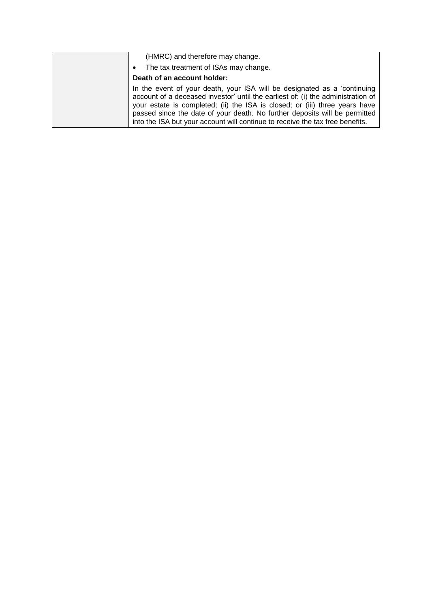| (HMRC) and therefore may change.                                                                                                                                                                                                                                                                                                                                                                           |
|------------------------------------------------------------------------------------------------------------------------------------------------------------------------------------------------------------------------------------------------------------------------------------------------------------------------------------------------------------------------------------------------------------|
| The tax treatment of ISAs may change.                                                                                                                                                                                                                                                                                                                                                                      |
| Death of an account holder:                                                                                                                                                                                                                                                                                                                                                                                |
| In the event of your death, your ISA will be designated as a 'continuing<br>account of a deceased investor' until the earliest of: (i) the administration of<br>your estate is completed; (ii) the ISA is closed; or (iii) three years have<br>passed since the date of your death. No further deposits will be permitted<br>into the ISA but your account will continue to receive the tax free benefits. |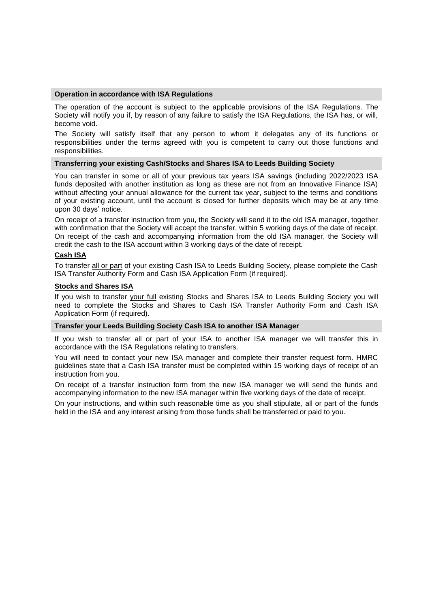#### **Operation in accordance with ISA Regulations**

The operation of the account is subject to the applicable provisions of the ISA Regulations. The Society will notify you if, by reason of any failure to satisfy the ISA Regulations, the ISA has, or will, become void.

The Society will satisfy itself that any person to whom it delegates any of its functions or responsibilities under the terms agreed with you is competent to carry out those functions and responsibilities.

## **Transferring your existing Cash/Stocks and Shares ISA to Leeds Building Society**

You can transfer in some or all of your previous tax years ISA savings (including 2022/2023 ISA funds deposited with another institution as long as these are not from an Innovative Finance ISA) without affecting your annual allowance for the current tax year, subject to the terms and conditions of your existing account, until the account is closed for further deposits which may be at any time upon 30 days' notice.

On receipt of a transfer instruction from you, the Society will send it to the old ISA manager, together with confirmation that the Society will accept the transfer, within 5 working days of the date of receipt. On receipt of the cash and accompanying information from the old ISA manager, the Society will credit the cash to the ISA account within 3 working days of the date of receipt.

## **Cash ISA**

To transfer all or part of your existing Cash ISA to Leeds Building Society, please complete the Cash ISA Transfer Authority Form and Cash ISA Application Form (if required).

## **Stocks and Shares ISA**

If you wish to transfer your full existing Stocks and Shares ISA to Leeds Building Society you will need to complete the Stocks and Shares to Cash ISA Transfer Authority Form and Cash ISA Application Form (if required).

## **Transfer your Leeds Building Society Cash ISA to another ISA Manager**

If you wish to transfer all or part of your ISA to another ISA manager we will transfer this in accordance with the ISA Regulations relating to transfers.

You will need to contact your new ISA manager and complete their transfer request form. HMRC guidelines state that a Cash ISA transfer must be completed within 15 working days of receipt of an instruction from you.

On receipt of a transfer instruction form from the new ISA manager we will send the funds and accompanying information to the new ISA manager within five working days of the date of receipt.

On your instructions, and within such reasonable time as you shall stipulate, all or part of the funds held in the ISA and any interest arising from those funds shall be transferred or paid to you.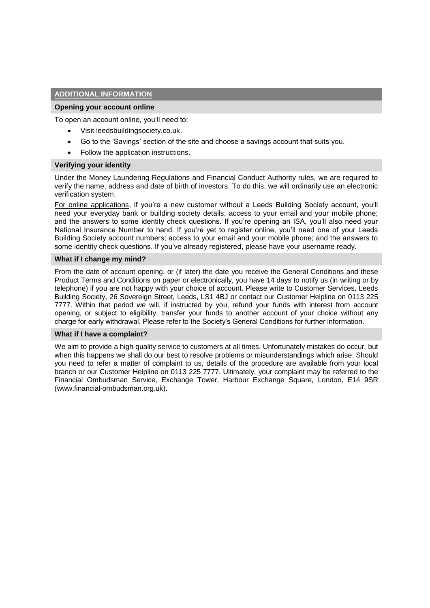# **ADDITIONAL INFORMATION**

#### **Opening your account online**

To open an account online, you'll need to:

- Visit leedsbuildingsociety.co.uk.
- Go to the 'Savings' section of the site and choose a savings account that suits you.
- Follow the application instructions.

#### **Verifying your identity**

Under the Money Laundering Regulations and Financial Conduct Authority rules, we are required to verify the name, address and date of birth of investors. To do this, we will ordinarily use an electronic verification system.

For online applications, if you're a new customer without a Leeds Building Society account, you'll need your everyday bank or building society details; access to your email and your mobile phone; and the answers to some identity check questions. If you're opening an ISA, you'll also need your National Insurance Number to hand. If you're yet to register online, you'll need one of your Leeds Building Society account numbers; access to your email and your mobile phone; and the answers to some identity check questions. If you've already registered, please have your username ready.

#### **What if I change my mind?**

From the date of account opening, or (if later) the date you receive the General Conditions and these Product Terms and Conditions on paper or electronically, you have 14 days to notify us (in writing or by telephone) if you are not happy with your choice of account. Please write to Customer Services, Leeds Building Society, 26 Sovereign Street, Leeds, LS1 4BJ or contact our Customer Helpline on 0113 225 7777. Within that period we will, if instructed by you, refund your funds with interest from account opening, or subject to eligibility, transfer your funds to another account of your choice without any charge for early withdrawal. Please refer to the Society's General Conditions for further information.

#### **What if I have a complaint?**

We aim to provide a high quality service to customers at all times. Unfortunately mistakes do occur, but when this happens we shall do our best to resolve problems or misunderstandings which arise. Should you need to refer a matter of complaint to us, details of the procedure are available from your local branch or our Customer Helpline on 0113 225 7777. Ultimately, your complaint may be referred to the Financial Ombudsman Service, Exchange Tower, Harbour Exchange Square, London, E14 9SR (www.financial-ombudsman.org.uk).